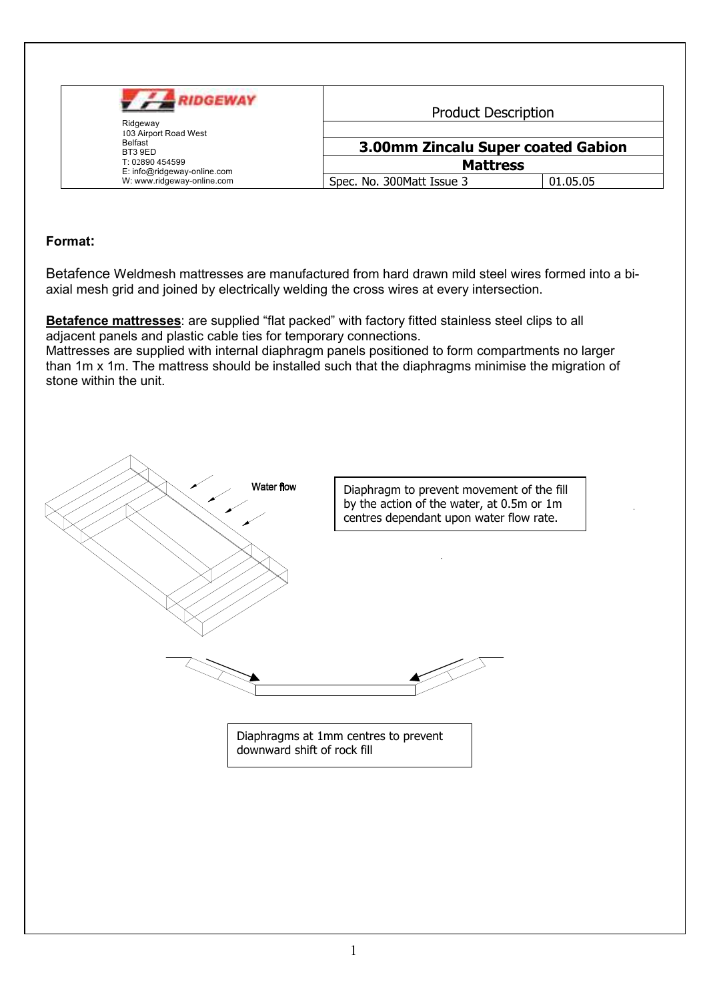| <b>RIDGEWAY</b><br>Ridgeway<br>103 Airport Road West<br>Belfast<br>BT3 9ED<br>T: 02890 454599<br>E: info@ridgeway-online.com | <b>Product Description</b>                            |  |
|------------------------------------------------------------------------------------------------------------------------------|-------------------------------------------------------|--|
|                                                                                                                              | 3.00mm Zincalu Super coated Gabion<br><b>Mattress</b> |  |
|                                                                                                                              |                                                       |  |

## Format:

Betafence Weldmesh mattresses are manufactured from hard drawn mild steel wires formed into a biaxial mesh grid and joined by electrically welding the cross wires at every intersection.

Betafence mattresses: are supplied "flat packed" with factory fitted stainless steel clips to all adjacent panels and plastic cable ties for temporary connections.

Mattresses are supplied with internal diaphragm panels positioned to form compartments no larger than 1m x 1m. The mattress should be installed such that the diaphragms minimise the migration of stone within the unit.